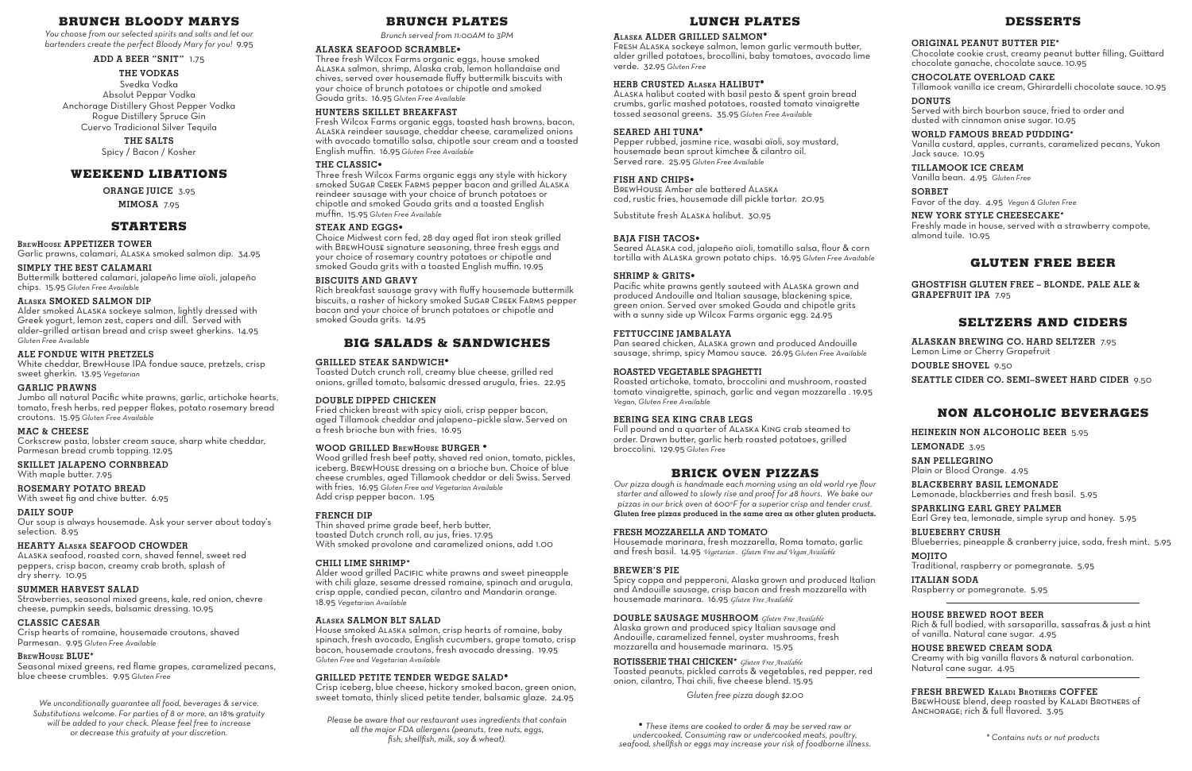## **BRUNCH BLOODY MARYS**

*You choose from our selected spirits and salts and let our bartenders create the perfect Bloody Mary for you!* 9.95

**ADD A BEER "SNIT"** 1.75

#### **THE VODKAS**

Svedka Vodka Absolut Peppar Vodka Anchorage Distillery Ghost Pepper Vodka Rogue Distillery Spruce Gin Cuervo Tradicional Silver Tequila

## **THE SALTS**

Spicy / Bacon / Kosher

## **WEEKEND LIBATIONS**

**ORANGE JUICE** 3.95

# **MIMOSA** 7.95

## **STARTERS**

**BrewHouse APPETIZER TOWER**

Garlic prawns, calamari, Alaska smoked salmon dip. 34.95 **SIMPLY THE BEST CALAMARI**

Buttermilk battered calamari, jalapeño lime aïoli, jalapeño chips. 15.95 *Gluten Free Available*

#### **Alaska SMOKED SALMON DIP**

Alder smoked Alaska sockeye salmon, lightly dressed with Greek yogurt, lemon zest, capers and dill. Served with alder–grilled artisan bread and crisp sweet gherkins. 14.95 *Gluten Free Available*

## **ALE FONDUE WITH PRETZELS**

White cheddar, BrewHouse IPA fondue sauce, pretzels, crisp sweet gherkin. 13.95 *Vegetarian*

#### **GARLIC PRAWNS**

Jumbo all natural Pacific white prawns, garlic, artichoke hearts, tomato, fresh herbs, red pepper flakes, potato rosemary bread croutons. 15.95 *Gluten Free Available*

#### **MAC & CHEESE**

Corkscrew pasta, lobster cream sauce, sharp white cheddar, Parmesan bread crumb topping. 12.95

#### **SKILLET JALAPENO CORNBREAD**

With maple butter. 7.95

#### **ROSEMARY POTATO BREAD**

With sweet fig and chive butter. 6.95

#### **DAILY SOUP**

Our soup is always housemade. Ask your server about today's selection. 8.95

## **HEARTY Alaska SEAFOOD CHOWDER**

Pacific white prawns gently sauteed with Alaska grown and produced Andouille and Italian sausage, blackening spice, green onion. Served over smoked Gouda and chipotle grits with a sunny side up Wilcox Farms organic egg. 24.95

Alaska seafood, roasted corn, shaved fennel, sweet red peppers, crisp bacon, creamy crab broth, splash of dry sherry. 10.95

## **SUMMER HARVEST SALAD**

Strawberries, seasonal mixed greens, kale, red onion, chevre cheese, pumpkin seeds, balsamic dressing. 10.95

## **CLASSIC CAESAR**

Crisp hearts of romaine, housemade croutons, shaved Parmesan. 9.95 *Gluten Free Available*

## **BrewHouse BLUE\***

Seasonal mixed greens, red flame grapes, caramelized pecans, blue cheese crumbles. 9.95 *Gluten Free*

*We unconditionally guarantee all food, beverages & service. Substitutions welcome. For parties of 8 or more, an 18% gratuity will be added to your check. Please feel free to increase or decrease this gratuity at your discretion.*

## **LUNCH PLATES**

#### **Alaska ALDER GRILLED SALMON•**

Fresh Alaska sockeye salmon, lemon garlic vermouth butter, alder grilled potatoes, brocollini, baby tomatoes, avocado lime verde. 32.95 *Gluten Free*

## **HERB CRUSTED Alaska HALIBUT•**

Alaska halibut coated with basil pesto & spent grain bread crumbs, garlic mashed potatoes, roasted tomato vinaigrette tossed seasonal greens. 35.95 *Gluten Free Available*

#### **SEARED AHI TUNA•**

Pepper rubbed, jasmine rice, wasabi aïoli, soy mustard, housemade bean sprout kimchee & cilantro oil. Served rare. 25.95 *Gluten Free Available*

## **FISH AND CHIPS•**

BrewHouse Amber ale battered Alaska cod, rustic fries, housemade dill pickle tartar. 20.95

Substitute fresh Alaska halibut. 30.95

## **BAJA FISH TACOS•**

Seared Alaska cod, jalapeño aïoli, tomatillo salsa, flour & corn tortilla with Alaska grown potato chips. 16.95 *Gluten Free Available*

#### **SHRIMP & GRITS•**

#### **FETTUCCINE JAMBALAYA**

Pan seared chicken, Alaska grown and produced Andouille sausage, shrimp, spicy Mamou sauce. 26.95 *Gluten Free Available*

## **ROASTED VEGETABLE SPAGHETTI**

Roasted artichoke, tomato, broccolini and mushroom, roasted tomato vinaigrette, spinach, garlic and vegan mozzarella . 19.95 *Vegan, Gluten Free Available*

#### **BERING SEA KING CRAB LEGS**

Full pound and a quarter of Alaska King crab steamed to order. Drawn butter, garlic herb roasted potatoes, grilled broccolini. 129.95 *Gluten Free*

## **BRICK OVEN PIZZAS**

*Our pizza dough is handmade each morning using an old world rye flour starter and allowed to slowly rise and proof for 48 hours. We bake our pizzas in our brick oven at 600°F for a superior crisp and tender crust.* **Gluten free pizzas produced in the same area as other gluten products.**

#### **FRESH MOZZARELLA AND TOMATO**

Housemade marinara, fresh mozzarella, Roma tomato, garlic and fresh basil. 14.95 *Vegetarian . Gluten Free and Vegan Available*

#### **BREWER'S PIE**

Spicy coppa and pepperoni, Alaska grown and produced Italian and Andouille sausage, crisp bacon and fresh mozzarella with housemade marinara. 16.95 *Gluten Free Available*

## **DOUBLE SAUSAGE MUSHROOM** *Gluten Free Available*

Alaska grown and produced spicy Italian sausage and Andouille, caramelized fennel, oyster mushrooms, fresh mozzarella and housemade marinara. 15.95

**ROTISSERIE THAI CHICKEN\*** *Gluten Free Available* Toasted peanuts, pickled carrots & vegetables, red pepper, red onion, cilantro, Thai chili, five cheese blend. 15.95

*Gluten free pizza dough \$2.00*

# **DESSERTS**

## **ORIGINAL PEANUT BUTTER PIE\***

Chocolate cookie crust, creamy peanut butter filling, Guittard chocolate ganache, chocolate sauce. 10.95

## **CHOCOLATE OVERLOAD CAKE**

Tillamook vanilla ice cream, Ghirardelli chocolate sauce. 10.95 **DONUTS**

Served with birch bourbon sauce, fried to order and dusted with cinnamon anise sugar. 10.95

**WORLD FAMOUS BREAD PUDDING\*** Vanilla custard, apples, currants, caramelized pecans, Yukon Jack sauce. 10.95

## **TILLAMOOK ICE CREAM**

Vanilla bean. 4.95 *Gluten Free*

## **SORBET**

Favor of the day. 4.95 *Vegan & Gluten Free*

## **NEW YORK STYLE CHEESECAKE\***

Freshly made in house, served with a strawberry compote, almond tuile. 10.95

# **GLUTEN FREE BEER**

**GHOSTFISH GLUTEN FREE – BLONDE, PALE ALE & GRAPEFRUIT IPA** 7.95

# **SELTZERS AND CIDERS**

**ALASKAN BREWING CO. HARD SELTZER** 7.95 Lemon Lime or Cherry Grapefruit **DOUBLE SHOVEL** 9.50 **SEATTLE CIDER CO. SEMI–SWEET HARD CIDER** 9.50

# **NON ALCOHOLIC BEVERAGES**

**HEINEKIN NON ALCOHOLIC BEER** 5.95

## **LEMONADE** 3.95

**SAN PELLEGRINO** Plain or Blood Orange. 4.95

**BLACKBERRY BASIL LEMONADE** Lemonade, blackberries and fresh basil. 5.95

**SPARKLING EARL GREY PALMER** Earl Grey tea, lemonade, simple syrup and honey. 5.95

**BLUEBERRY CRUSH** Blueberries, pineapple & cranberry juice, soda, fresh mint. 5.95

## **MOJITO** Traditional, raspberry or pomegranate. 5.95

**ITALIAN SODA** Raspberry or pomegranate. 5.95

## **HOUSE BREWED ROOT BEER**

Rich & full bodied, with sarsaparilla, sassafras & just a hint of vanilla. Natural cane sugar. 4.95

# **HOUSE BREWED CREAM SODA**

Creamy with big vanilla flavors & natural carbonation. Natural cane sugar. 4.95

## **FRESH BREWED Kaladi Brothers COFFEE**

BREWHOUSE blend, deep roasted by KALADI BROTHERS of ANCHORAGE; rich & full flavored. 3.95

**•** *These items are cooked to order & may be served raw or undercooked. Consuming raw or undercooked meats, poultry, seafood, shellfish or eggs may increase your risk of foodborne illness. \* Contains nuts or nut products*

## **BRUNCH PLATES**

*Brunch served from 11:00AM to 3PM* 

#### **ALASKA SEAFOOD SCRAMBLE•**

Three fresh Wilcox Farms organic eggs, house smoked Alaska salmon, shrimp, Alaska crab, lemon hollandaise and chives, served over housemade fluffy buttermilk biscuits with your choice of brunch potatoes or chipotle and smoked Gouda grits. 16.95 *Gluten Free Available*

## **HUNTERS SKILLET BREAKFAST**

Fresh Wilcox Farms organic eggs, toasted hash browns, bacon, Alaska reindeer sausage, cheddar cheese, caramelized onions with avocado tomatillo salsa, chipotle sour cream and a toasted English muffin. 16.95 *Gluten Free Available*

## **THE CLASSIC•**

Three fresh Wilcox Farms organic eggs any style with hickory smoked SUGAR CREEK FARMS pepper bacon and grilled ALASKA reindeer sausage with your choice of brunch potatoes or chipotle and smoked Gouda grits and a toasted English muffin. 15.95 *Gluten Free Available*

## **STEAK AND EGGS•**

Choice Midwest corn fed, 28 day aged flat iron steak grilled with BrewHouse signature seasoning, three fresh eggs and your choice of rosemary country potatoes or chipotle and smoked Gouda grits with a toasted English muffin. 19.95

## **BISCUITS AND GRAVY**

Rich breakfast sausage gravy with fluffy housemade buttermilk biscuits, a rasher of hickory smoked Sugar CREEK FARMS pepper bacon and your choice of brunch potatoes or chipotle and smoked Gouda grits. 14.95

## **BIG SALADS & SANDWICHES**

#### **GRILLED STEAK SANDWICH•**

Toasted Dutch crunch roll, creamy blue cheese, grilled red onions, grilled tomato, balsamic dressed arugula, fries. 22.95

## **DOUBLE DIPPED CHICKEN**

Fried chicken breast with spicy aioli, crisp pepper bacon, aged Tillamook cheddar and jalapeno–pickle slaw. Served on a fresh brioche bun with fries. 16.95

#### **WOOD GRILLED BrewHouse BURGER •**

Wood grilled fresh beef patty, shaved red onion, tomato, pickles, iceberg, BrewHouse dressing on a brioche bun. Choice of blue cheese crumbles, aged Tillamook cheddar or deli Swiss. Served with fries. 16.95 *Gluten Free and Vegetarian Available*  Add crisp pepper bacon. 1.95

#### **FRENCH DIP**

Thin shaved prime grade beef, herb butter, toasted Dutch crunch roll, au jus, fries. 17.95 With smoked provolone and caramelized onions, add 1.00

#### **CHILI LIME SHRIMP\***

Alder wood grilled Pacific white prawns and sweet pineapple with chili glaze, sesame dressed romaine, spinach and arugula, crisp apple, candied pecan, cilantro and Mandarin orange. 18.95 *Vegetarian Available*

## **Alaska SALMON BLT SALAD**

House smoked Alaska salmon, crisp hearts of romaine, baby spinach, fresh avocado, English cucumbers, grape tomato, crisp bacon, housemade croutons, fresh avocado dressing. 19.95 *Gluten Free and Vegetarian Available*

## **GRILLED PETITE TENDER WEDGE SALAD•**

Crisp iceberg, blue cheese, hickory smoked bacon, green onion, sweet tomato, thinly sliced petite tender, balsamic glaze. 24.95

*Please be aware that our restaurant uses ingredients that contain all the major FDA allergens (peanuts, tree nuts, eggs, fish, shellfish, milk, soy & wheat).*